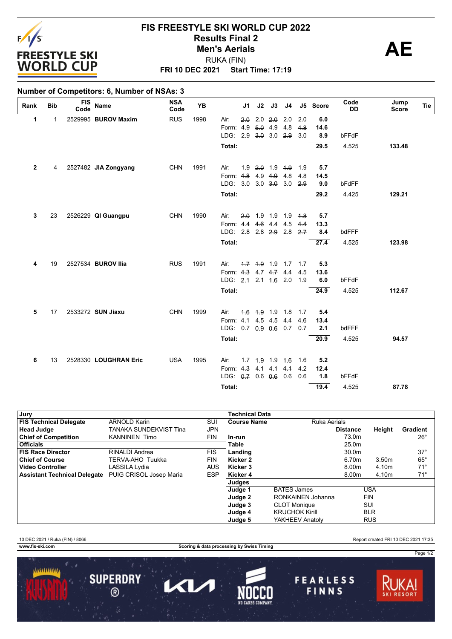

### **FRI 10 DEC 2021 Start Time: 17:19 FIS FREESTYLE SKI WORLD CUP 2022 Results Final 2**<br> **Men's Aerials**<br> **AE** RUKA (FIN) **Men's Aerials**

### **Number of Competitors: 6, Number of NSAs: 3**

| Rank         | <b>Bib</b> | <b>FIS</b><br>Code | <b>Name</b>           | <b>NSA</b><br>Code | <b>YB</b> |                          | J1  | J2        | J3                | J4                  |     | J5 Score | Code<br><b>DD</b> | Jump<br><b>Score</b> | Tie |
|--------------|------------|--------------------|-----------------------|--------------------|-----------|--------------------------|-----|-----------|-------------------|---------------------|-----|----------|-------------------|----------------------|-----|
| 1            | 1          |                    | 2529995 BUROV Maxim   | <b>RUS</b>         | 1998      | Air:                     | 2.0 |           | $2.0$ $2.0$       | 2.0                 | 2.0 | 6.0      |                   |                      |     |
|              |            |                    |                       |                    |           | Form: 4.9                |     | $5.0$ 4.9 |                   | 4.8                 | 4.8 | 14.6     |                   |                      |     |
|              |            |                    |                       |                    |           | LDG: 2.9 3.0 3.0 2.9     |     |           |                   |                     | 3.0 | 8.9      | bFFdF             |                      |     |
|              |            |                    |                       |                    |           | Total:                   |     |           |                   |                     |     | 29.5     | 4.525             | 133.48               |     |
| $\mathbf{2}$ | 4          |                    | 2527482 JIA Zongyang  | <b>CHN</b>         | 1991      | Air:                     | 1.9 |           | $2.0$ 1.9 $4.9$   |                     | 1.9 | 5.7      |                   |                      |     |
|              |            |                    |                       |                    |           | Form: 4.8 4.9 4.9 4.8    |     |           |                   |                     | 4.8 | 14.5     |                   |                      |     |
|              |            |                    |                       |                    |           | LDG: 3.0 3.0 3.0 3.0     |     |           |                   |                     | 2.9 | 9.0      | bFdFF             |                      |     |
|              |            |                    |                       |                    |           | Total:                   |     |           |                   |                     |     | 29.2     | 4.425             | 129.21               |     |
| 3            | 23         |                    | 2526229 QI Guangpu    | <b>CHN</b>         | 1990      | Air:                     | 2.0 | 1.9 1.9   |                   | 1.9                 | 4.8 | 5.7      |                   |                      |     |
|              |            |                    |                       |                    |           | Form: 4.4 4.6 4.4        |     |           |                   | 4.5                 | 4.4 | 13.3     |                   |                      |     |
|              |            |                    |                       |                    |           | LDG: 2.8 2.8 2.9 2.8     |     |           |                   |                     | 2.7 | 8.4      | bdFFF             |                      |     |
|              |            |                    |                       |                    |           | Total:                   |     |           |                   |                     |     | 27.4     | 4.525             | 123.98               |     |
|              |            |                    |                       |                    |           |                          |     |           |                   |                     |     |          |                   |                      |     |
| 4            | 19         |                    | 2527534 BUROV IIia    | <b>RUS</b>         | 1991      | Air:                     |     |           |                   | 4.7 4.9 1.9 1.7 1.7 |     | 5.3      |                   |                      |     |
|              |            |                    |                       |                    |           | Form: 4.3 4.7 4.7 4.4    |     |           |                   |                     | 4.5 | 13.6     |                   |                      |     |
|              |            |                    |                       |                    |           | LDG: 2.4 2.1 4.6 2.0     |     |           |                   |                     | 1.9 | 6.0      | bFFdF             |                      |     |
|              |            |                    |                       |                    |           | Total:                   |     |           |                   |                     |     | 24.9     | 4.525             | 112.67               |     |
| 5            | 17         |                    | 2533272 SUN Jiaxu     | <b>CHN</b>         | 1999      | Air:                     |     |           | 1.6 1.9 1.9 1.8   |                     | 1.7 | 5.4      |                   |                      |     |
|              |            |                    |                       |                    |           | Form: 4.1 4.5 4.5 4.4    |     |           |                   |                     | 4.6 | 13.4     |                   |                      |     |
|              |            |                    |                       |                    |           | LDG: 0.7 0.9 0.6 0.7 0.7 |     |           |                   |                     |     | 2.1      | bdFFF             |                      |     |
|              |            |                    |                       |                    |           | Total:                   |     |           |                   |                     |     | 20.9     | 4.525             | 94.57                |     |
|              |            |                    |                       |                    |           |                          |     |           |                   |                     |     |          |                   |                      |     |
| 6            | 13         |                    | 2528330 LOUGHRAN Eric | <b>USA</b>         | 1995      | Air:                     |     |           | $1.7$ 4.9 1.9 4.6 |                     | 1.6 | 5.2      |                   |                      |     |
|              |            |                    |                       |                    |           | Form: 4.3                |     | 4.1       |                   | $4.1 + 4.1$         | 4.2 | 12.4     |                   |                      |     |
|              |            |                    |                       |                    |           | LDG: 0.7 0.6 0.6 0.6     |     |           |                   |                     | 0.6 | 1.8      | bFFdF             |                      |     |
|              |            |                    |                       |                    |           | <b>Total:</b>            |     |           |                   |                     |     | 19.4     | 4.525             | 87.78                |     |

| Jury                          |                         |            | <b>Technical Data</b> |                       |                 |            |                 |
|-------------------------------|-------------------------|------------|-----------------------|-----------------------|-----------------|------------|-----------------|
| <b>FIS Technical Delegate</b> | <b>ARNOLD Karin</b>     | SUI        | <b>Course Name</b>    | <b>Ruka Aerials</b>   |                 |            |                 |
| Head Judge                    | TANAKA SUNDEKVIST Tina  | JPN        |                       |                       | <b>Distance</b> | Height     | <b>Gradient</b> |
| <b>Chief of Competition</b>   | <b>KANNINEN Timo</b>    | <b>FIN</b> | In-run                |                       | 73.0m           |            | $26^{\circ}$    |
| <b>Officials</b>              |                         |            | <b>Table</b>          |                       | 25.0m           |            |                 |
| <b>FIS Race Director</b>      | <b>RINALDI</b> Andrea   | <b>FIS</b> | Landing               |                       | 30.0m           |            | $37^\circ$      |
| <b>Chief of Course</b>        | TERVA-AHO Tuukka        | <b>FIN</b> | Kicker 2              |                       | 6.70m           | 3.50m      | $65^{\circ}$    |
| ∣ Video Controller            | LASSILA Lydia           | <b>AUS</b> | Kicker 3              |                       | 8.00m           | 4.10m      | $71^{\circ}$    |
| Assistant Technical Delegate  | PUIG CRISOL Josep Maria | <b>ESP</b> | Kicker 4              |                       | 8.00m           | 4.10m      | $71^\circ$      |
|                               |                         |            | Judges                |                       |                 |            |                 |
|                               |                         |            | Judge 1               | <b>BATES James</b>    |                 | <b>USA</b> |                 |
|                               |                         |            | Judge 2               | RONKAINEN Johanna     |                 | <b>FIN</b> |                 |
|                               |                         |            | Judge 3               | <b>CLOT Monique</b>   |                 | SUI        |                 |
|                               |                         |            | Judge 4               | <b>KRUCHOK Kirill</b> |                 | <b>BLR</b> |                 |
|                               |                         |            | Judge 5               | YAKHEEV Anatolv       |                 | <b>RUS</b> |                 |

10 DEC 2021 / Ruka (FIN) / 8066 Report created FRI 10 DEC 2021 17:35